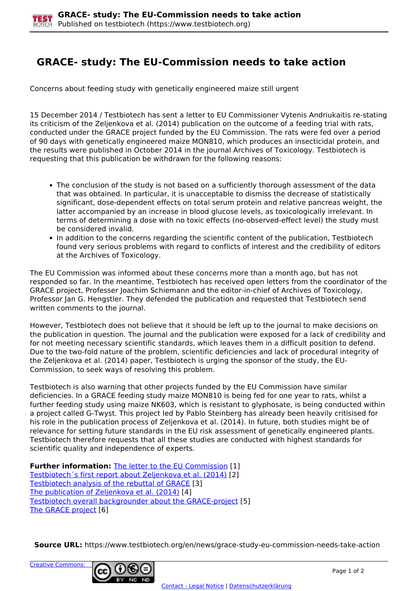## **GRACE- study: The EU-Commission needs to take action**

Concerns about feeding study with genetically engineered maize still urgent

15 December 2014 / Testbiotech has sent a letter to EU Commissioner Vytenis Andriukaitis re-stating its criticism of the Zeljenkova et al. (2014) publication on the outcome of a feeding trial with rats, conducted under the GRACE project funded by the EU Commission. The rats were fed over a period of 90 days with genetically engineered maize MON810, which produces an insecticidal protein, and the results were published in October 2014 in the journal Archives of Toxicology. Testbiotech is requesting that this publication be withdrawn for the following reasons:

- The conclusion of the study is not based on a sufficiently thorough assessment of the data that was obtained. In particular, it is unacceptable to dismiss the decrease of statistically significant, dose-dependent effects on total serum protein and relative pancreas weight, the latter accompanied by an increase in blood glucose levels, as toxicologically irrelevant. In terms of determining a dose with no toxic effects (no-observed-effect level) the study must be considered invalid.
- In addition to the concerns regarding the scientific content of the publication, Testbiotech found very serious problems with regard to conflicts of interest and the credibility of editors at the Archives of Toxicology.

The EU Commission was informed about these concerns more than a month ago, but has not responded so far. In the meantime, Testbiotech has received open letters from the coordinator of the GRACE project, Professer Joachim Schiemann and the editor-in-chief of Archives of Toxicology, Professor Jan G. Hengstler. They defended the publication and requested that Testbiotech send written comments to the journal.

However, Testbiotech does not believe that it should be left up to the journal to make decisions on the publication in question. The journal and the publication were exposed for a lack of credibility and for not meeting necessary scientific standards, which leaves them in a difficult position to defend. Due to the two-fold nature of the problem, scientific deficiencies and lack of procedural integrity of the Zeljenkova et al. (2014) paper, Testbiotech is urging the sponsor of the study, the EU-Commission, to seek ways of resolving this problem.

Testbiotech is also warning that other projects funded by the EU Commission have similar deficiencies. In a GRACE feeding study maize MON810 is being fed for one year to rats, whilst a further feeding study using maize NK603, which is resistant to glyphosate, is being conducted within a project called G-Twyst. This project led by Pablo Steinberg has already been heavily critisised for his role in the publication process of Zeljenkova et al. (2014). In future, both studies might be of relevance for setting future standards in the EU risk assessment of genetically engineered plants. Testbiotech therefore requests that all these studies are conducted with highest standards for scientific quality and independence of experts.

**Further information:** [The letter to the EU Commission](http://www.testbiotech.org/node/1121) [1] Testbiotech´s first report about Zeljenkova et al. (2014) [2] Testbiotech analysis of the rebuttal of GRACE [3] The publication of Zeljenkova et al. (2014) [4] Testbiotech overall backgrounder about the GRACE-project [5] The GRACE project [6]

**Source URL:** https://www.testbiotech.org/en/news/grace-study-eu-commission-needs-take-action